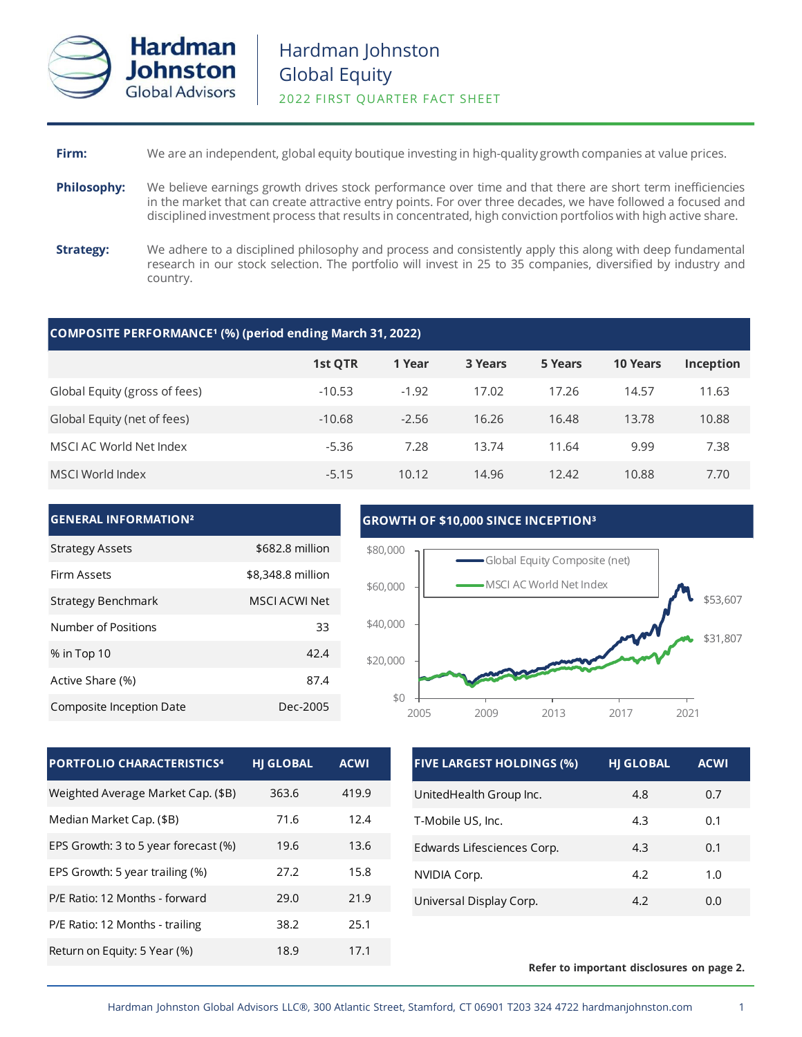

## **Firm:** We are an independent, global equity boutique investing in high-quality growth companies at value prices.

- **Philosophy:** We believe earnings growth drives stock performance over time and that there are short term inefficiencies in the market that can create attractive entry points. For over three decades, we have followed a focused and disciplined investment process that results in concentrated, high conviction portfolios with high active share.
- **Strategy:** We adhere to a disciplined philosophy and process and consistently apply this along with deep fundamental research in our stock selection. The portfolio will invest in 25 to 35 companies, diversified by industry and country.

### **COMPOSITE PERFORMANCE¹ (%) (period ending March 31, 2022)**

|                               | 1st OTR  | 1 Year  | 3 Years | 5 Years | <b>10 Years</b> | Inception |
|-------------------------------|----------|---------|---------|---------|-----------------|-----------|
| Global Equity (gross of fees) | $-10.53$ | $-1.92$ | 17.02   | 17.26   | 14.57           | 11.63     |
| Global Equity (net of fees)   | $-10.68$ | $-2.56$ | 16.26   | 16.48   | 13.78           | 10.88     |
| MSCI AC World Net Index       | $-5.36$  | 7.28    | 13.74   | 11.64   | 9.99            | 7.38      |
| MSCI World Index              | $-5.15$  | 10.12   | 14.96   | 12.42   | 10.88           | 7.70      |



| <b>HI GLOBAL</b> | <b>ACWI</b> |
|------------------|-------------|
| 363.6            | 419.9       |
| 71.6             | 12.4        |
| 19.6             | 13.6        |
| 27.2             | 15.8        |
| 29.0             | 21.9        |
| 38.2             | 25.1        |
| 18.9             | 17.1        |
|                  |             |

| <b>FIVE LARGEST HOLDINGS (%)</b> | <b>HJ GLOBAL</b> | <b>ACWI</b> |
|----------------------------------|------------------|-------------|
| UnitedHealth Group Inc.          | 4.8              | 0.7         |
| T-Mobile US, Inc.                | 4.3              | 0.1         |
| Edwards Lifesciences Corp.       | 4.3              | 0.1         |
| NVIDIA Corp.                     | 4.2              | 1.0         |
| Universal Display Corp.          | 4.2              | 0.O         |

### **Refer to important disclosures on page 2.**